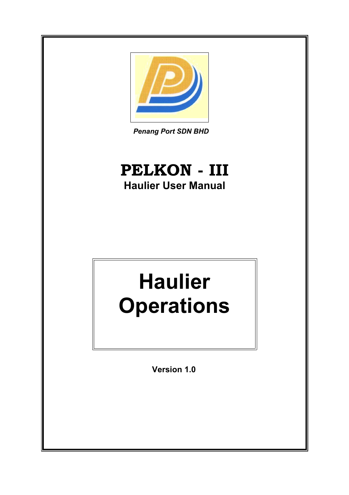

*Penang Port SDN BHD*

# **PELKON - III Haulier User Manual**

# **Haulier Operations**

**Version 1.0**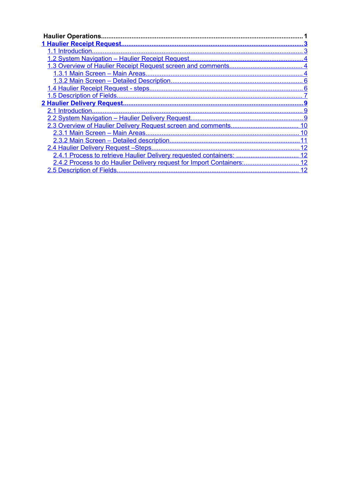| <b>Haulier Operations</b>                                        |  |
|------------------------------------------------------------------|--|
|                                                                  |  |
| 1.1 Introduction                                                 |  |
|                                                                  |  |
|                                                                  |  |
|                                                                  |  |
|                                                                  |  |
|                                                                  |  |
|                                                                  |  |
|                                                                  |  |
|                                                                  |  |
|                                                                  |  |
|                                                                  |  |
|                                                                  |  |
|                                                                  |  |
|                                                                  |  |
|                                                                  |  |
| 2.4.1 Process to retrieve Haulier Delivery requested containers: |  |
|                                                                  |  |
| 2.5 Description of Fields.                                       |  |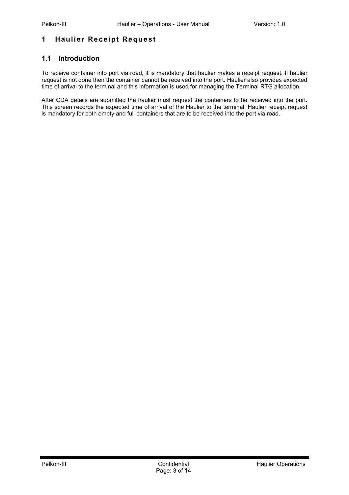## <span id="page-2-0"></span>**1 Haulier Receipt Request**

#### <span id="page-2-1"></span>**1.1 Introduction**

To receive container into port via road, it is mandatory that haulier makes a receipt request. If haulier request is not done then the container cannot be received into the port. Haulier also provides expected time of arrival to the terminal and this information is used for managing the Terminal RTG allocation.

After CDA details are submitted the haulier must request the containers to be received into the port. This screen records the expected time of arrival of the Haulier to the terminal. Haulier receipt request is mandatory for both empty and full containers that are to be received into the port via road.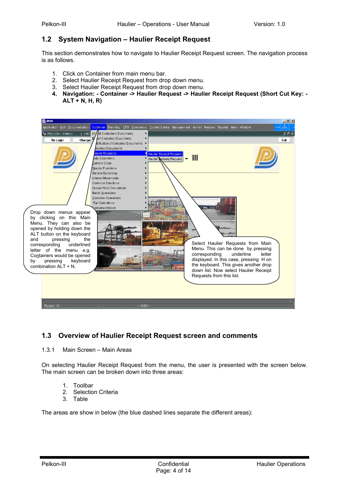## <span id="page-3-2"></span>**1.2 System Navigation – Haulier Receipt Request**

This section demonstrates how to navigate to Haulier Receipt Request screen. The navigation process is as follows.

- 1. Click on Container from main menu bar.
- 2. Select Haulier Receipt Request from drop down menu.
- 3. Select Haulier Receipt Request from drop down menu.
- **4. Navigation: - Container -> Haulier Request -> Haulier Receipt Request (Short Cut Key: - ALT + N, H, R)**



## <span id="page-3-1"></span>**1.3 Overview of Haulier Receipt Request screen and comments**

#### <span id="page-3-0"></span>1.3.1 Main Screen – Main Areas

On selecting Haulier Receipt Request from the menu, the user is presented with the screen below. The main screen can be broken down into three areas:

- 1. Toolbar
- 2. Selection Criteria
- 3. Table

The areas are show in below (the blue dashed lines separate the different areas):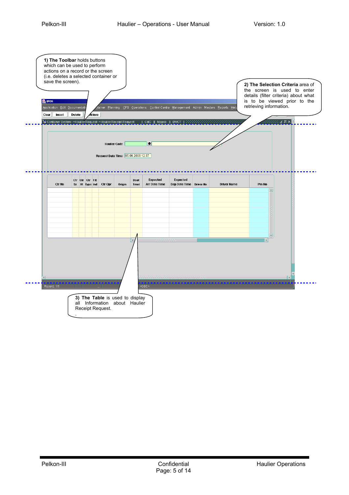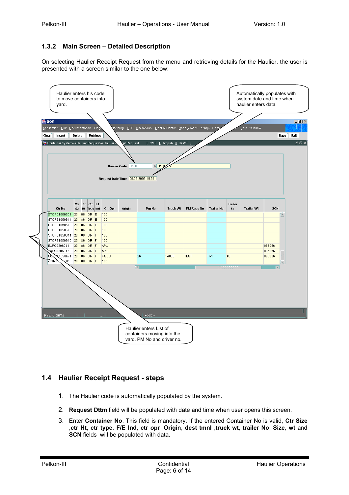#### <span id="page-5-1"></span>**1.3.2 Main Screen – Detailed Description**

On selecting Haulier Receipt Request from the menu and retrieving details for the Haulier, the user is presented with a screen similar to the one below:



#### <span id="page-5-0"></span>**1.4 Haulier Receipt Request - steps**

- 1. The Haulier code is automatically populated by the system.
- 2. **Request Dttm** field will be populated with date and time when user opens this screen.
- 3. Enter **Container No**. This field is mandatory. If the entered Container No is valid, **Ctr Size** ,**ctr Ht, ctr type**, **F/E Ind**, **ctr opr** ,**Origin**, **dest tmnl** ,**truck wt**, **trailer No**, **Size**, **wt** and **SCN** fields will be populated with data.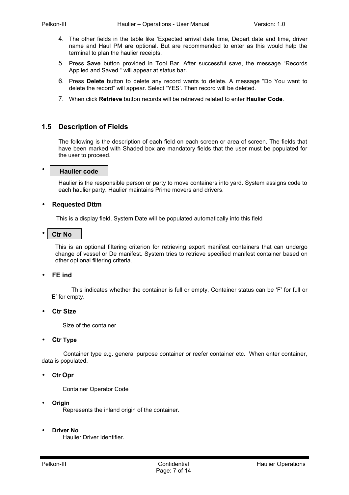- 4. The other fields in the table like 'Expected arrival date time, Depart date and time, driver name and Haul PM are optional. But are recommended to enter as this would help the terminal to plan the haulier receipts.
- 5. Press **Save** button provided in Tool Bar. After successful save, the message "Records Applied and Saved " will appear at status bar.
- 6. Press **Delete** button to delete any record wants to delete. A message "Do You want to delete the record" will appear. Select "YES'. Then record will be deleted.
- 7. When click **Retrieve** button records will be retrieved related to enter **Haulier Code**.

#### **1.5 Description of Fields**

<span id="page-6-0"></span>The following is the description of each field on each screen or area of screen. The fields that have been marked with Shaded box are mandatory fields that the user must be populated for the user to proceed.

#### • **Haulier code**

Haulier is the responsible person or party to move containers into yard. System assigns code to each haulier party. Haulier maintains Prime movers and drivers.

#### • **Requested Dttm**

This is a display field. System Date will be populated automatically into this field

#### • **Ctr No**

This is an optional filtering criterion for retrieving export manifest containers that can undergo change of vessel or De manifest. System tries to retrieve specified manifest container based on other optional filtering criteria.

#### • **FE ind**

This indicates whether the container is full or empty, Container status can be 'F' for full or 'E' for empty.

• **Ctr Size**

Size of the container

#### • **Ctr Type**

Container type e.g. general purpose container or reefer container etc. When enter container, data is populated.

• **Ctr Opr**

Container Operator Code

• **Origin**

Represents the inland origin of the container.

• **Driver No**

Haulier Driver Identifier.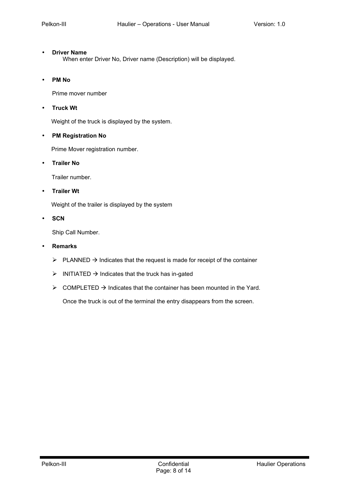#### • **Driver Name**

When enter Driver No, Driver name (Description) will be displayed.

• **PM No**

Prime mover number

• **Truck Wt**

Weight of the truck is displayed by the system.

• **PM Registration No**

Prime Mover registration number.

• **Trailer No**

Trailer number.

• **Trailer Wt**

Weight of the trailer is displayed by the system

• **SCN**

Ship Call Number.

- **Remarks**
	- $\triangleright$  PLANNED  $\rightarrow$  Indicates that the request is made for receipt of the container
	- $\triangleright$  INITIATED  $\rightarrow$  Indicates that the truck has in-gated
	- $\triangleright$  COMPLETED  $\rightarrow$  Indicates that the container has been mounted in the Yard.

Once the truck is out of the terminal the entry disappears from the screen.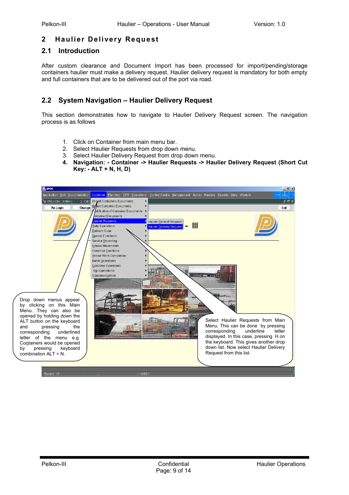#### <span id="page-8-2"></span>**2 Haulier Delivery Request**

#### <span id="page-8-1"></span>**2.1 Introduction**

After custom clearance and Document Import has been processed for import/pending/storage containers haulier must make a delivery request. Haulier delivery request is mandatory for both empty and full containers that are to be delivered out of the port via road.

#### <span id="page-8-0"></span>**2.2 System Navigation – Haulier Delivery Request**

This section demonstrates how to navigate to Haulier Delivery Request screen. The navigation process is as follows

- 1. Click on Container from main menu bar.
- 2. Select Haulier Requests from drop down menu.
- 3. Select Haulier Delivery Request from drop down menu.
- **4. Navigation: - Container -> Haulier Requests -> Haulier Delivery Request (Short Cut Key: - ALT + N, H, D)**

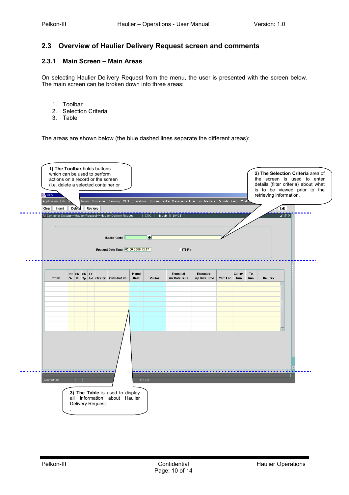#### <span id="page-9-1"></span>**2.3 Overview of Haulier Delivery Request screen and comments**

#### <span id="page-9-0"></span>**2.3.1 Main Screen – Main Areas**

On selecting Haulier Delivery Request from the menu, the user is presented with the screen below. The main screen can be broken down into three areas:

- 1. Toolbar
- 2. Selection Criteria
- 3. Table

The areas are shown below (the blue dashed lines separate the different areas):

| 1) The Toolbar holds buttons<br>which can be used to perform<br>actions on a record or the screen<br><b>幾</b> IPOS<br>Application Edit L<br>Insert<br>Clear |         |                 | Delet Retrieve    | (i.e. delete a selected container or<br>Container System -- > Haulier Request -- > Haulier Delivery Request |                | [ CMC ][ htppsb ][ BVVCT | ntation Co <u>n</u> tainer <u>P</u> lanning QFS Qperations Qontrol Centre Management Admin Masters Reports Help Windov |                           |          |                        |            | retrieving information.<br>Exit<br>$\begin{array}{c}\n\overline{x} & \xrightarrow{A} & \xrightarrow{A} \\ \end{array}$ | 2) The Selection Criteria area of<br>the screen is used to enter<br>details (filter criteria) about what<br>is to be viewed prior to the |
|-------------------------------------------------------------------------------------------------------------------------------------------------------------|---------|-----------------|-------------------|-------------------------------------------------------------------------------------------------------------|----------------|--------------------------|------------------------------------------------------------------------------------------------------------------------|---------------------------|----------|------------------------|------------|------------------------------------------------------------------------------------------------------------------------|------------------------------------------------------------------------------------------------------------------------------------------|
|                                                                                                                                                             |         |                 |                   | <b>Haulier Code</b><br>Request Date Time 05.06.2006 13:47                                                   |                | O                        | $\square$ ITT Fig                                                                                                      |                           |          |                        |            |                                                                                                                        |                                                                                                                                          |
| <b>Ctr No</b>                                                                                                                                               | $Sz$ Ht | Ctr Ctr Ctr F/E | Tp Ind Ctr Opr    | <b>Cstm Ref No</b>                                                                                          | Inland<br>Dest | Pm No                    | Expected<br><b>Arr Date Time</b>                                                                                       | Expected<br>Dep Date Time | Yard Loc | <b>Current</b><br>Tmnl | To<br>Tmnl | Remark                                                                                                                 |                                                                                                                                          |
|                                                                                                                                                             |         |                 |                   |                                                                                                             |                |                          |                                                                                                                        |                           |          |                        |            | P)                                                                                                                     |                                                                                                                                          |
|                                                                                                                                                             |         |                 |                   |                                                                                                             |                |                          |                                                                                                                        |                           |          |                        |            |                                                                                                                        |                                                                                                                                          |
| Record: 1/1                                                                                                                                                 |         |                 |                   |                                                                                                             | $ $ <0SC>      |                          |                                                                                                                        |                           |          |                        |            |                                                                                                                        |                                                                                                                                          |
|                                                                                                                                                             |         |                 | Delivery Request. | 3) The Table is used to display<br>all Information about Haulier                                            |                |                          |                                                                                                                        |                           |          |                        |            |                                                                                                                        |                                                                                                                                          |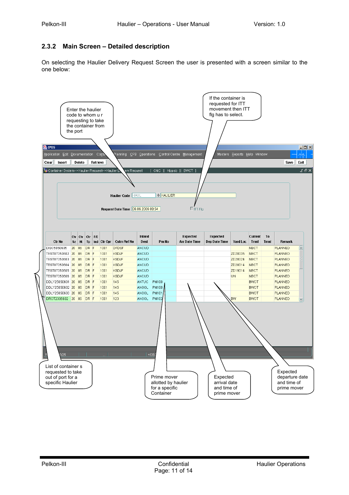#### <span id="page-10-0"></span>**2.3.2 Main Screen – Detailed description**

On selecting the Haulier Delivery Request Screen the user is presented with a screen similar to the one below:

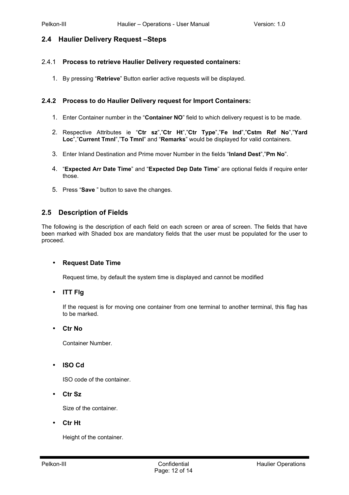#### <span id="page-11-3"></span>**2.4 Haulier Delivery Request –Steps**

#### 2.4.1 **Process to retrieve Haulier Delivery requested containers:**

<span id="page-11-2"></span>1. By pressing "**Retrieve**" Button earlier active requests will be displayed.

#### **2.4.2 Process to do Haulier Delivery request for Import Containers:**

- <span id="page-11-1"></span>1. Enter Container number in the "**Container NO**" field to which delivery request is to be made.
- 2. Respective Attributes ie "**Ctr sz**","**Ctr Ht**","**Ctr Type**","**Fe Ind**","**Cstm Ref No**","**Yard Loc**","**Current Tmnl**","**To Tmnl**" and "**Remarks**" would be displayed for valid containers.
- 3. Enter Inland Destination and Prime mover Number in the fields "**Inland Dest**","**Pm No**".
- 4. "**Expected Arr Date Time**" and "**Expected Dep Date Time**" are optional fields if require enter those.
- 5. Press "**Save** " button to save the changes.

#### <span id="page-11-0"></span>**2.5 Description of Fields**

The following is the description of each field on each screen or area of screen. The fields that have been marked with Shaded box are mandatory fields that the user must be populated for the user to proceed.

#### • **Request Date Time**

Request time, by default the system time is displayed and cannot be modified

#### • **ITT Flg**

If the request is for moving one container from one terminal to another terminal, this flag has to be marked.

#### • **Ctr No**

Container Number.

#### • **ISO Cd**

ISO code of the container.

• **Ctr Sz**

Size of the container.

• **Ctr Ht**

Height of the container.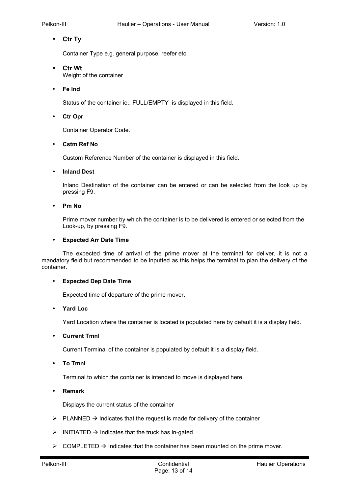#### • **Ctr Ty**

Container Type e.g. general purpose, reefer etc.

- **Ctr Wt** Weight of the container
- **Fe Ind**

Status of the container ie., FULL/EMPTY is displayed in this field.

• **Ctr Opr**

Container Operator Code.

#### • **Cstm Ref No**

Custom Reference Number of the container is displayed in this field.

#### • **Inland Dest**

Inland Destination of the container can be entered or can be selected from the look up by pressing F9.

#### • **Pm No**

Prime mover number by which the container is to be delivered is entered or selected from the Look-up, by pressing F9.

#### • **Expected Arr Date Time**

The expected time of arrival of the prime mover at the terminal for deliver, it is not a mandatory field but recommended to be inputted as this helps the terminal to plan the delivery of the container.

#### • **Expected Dep Date Time**

Expected time of departure of the prime mover.

#### • **Yard Loc**

Yard Location where the container is located is populated here by default it is a display field.

#### • **Current Tmnl**

Current Terminal of the container is populated by default it is a display field.

• **To Tmnl**

Terminal to which the container is intended to move is displayed here.

• **Remark**

Displays the current status of the container

- $\triangleright$  PLANNED  $\rightarrow$  Indicates that the request is made for delivery of the container
- $\triangleright$  INITIATED  $\rightarrow$  Indicates that the truck has in-gated
- $\triangleright$  COMPLETED  $\rightarrow$  Indicates that the container has been mounted on the prime mover.